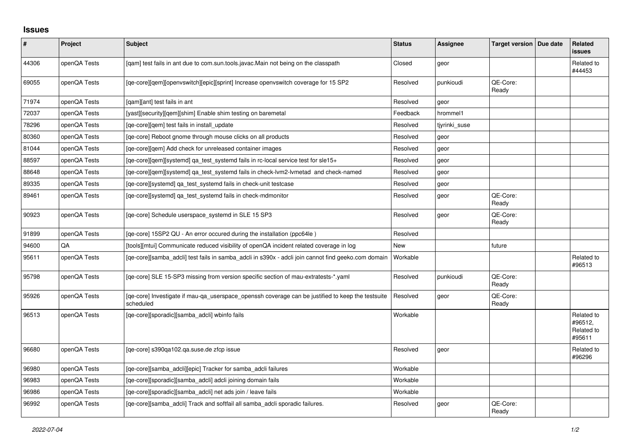## **Issues**

| $\sharp$ | Project      | <b>Subject</b>                                                                                                 | <b>Status</b> | <b>Assignee</b> | Target version   Due date | Related<br><b>issues</b>                      |
|----------|--------------|----------------------------------------------------------------------------------------------------------------|---------------|-----------------|---------------------------|-----------------------------------------------|
| 44306    | openQA Tests | [qam] test fails in ant due to com.sun.tools.javac.Main not being on the classpath                             | Closed        | geor            |                           | Related to<br>#44453                          |
| 69055    | openQA Tests | [ge-core][gem][openvswitch][epic][sprint] Increase openvswitch coverage for 15 SP2                             | Resolved      | punkioudi       | QE-Core:<br>Ready         |                                               |
| 71974    | openQA Tests | [gam][ant] test fails in ant                                                                                   | Resolved      | geor            |                           |                                               |
| 72037    | openQA Tests | [yast][security][qem][shim] Enable shim testing on baremetal                                                   | Feedback      | hrommel1        |                           |                                               |
| 78296    | openQA Tests | [ge-core][gem] test fails in install update                                                                    | Resolved      | tiyrinki suse   |                           |                                               |
| 80360    | openQA Tests | [qe-core] Reboot gnome through mouse clicks on all products                                                    | Resolved      | geor            |                           |                                               |
| 81044    | openQA Tests | [ge-core][gem] Add check for unreleased container images                                                       | Resolved      | geor            |                           |                                               |
| 88597    | openQA Tests | [ge-core][gem][systemd] ga test systemd fails in rc-local service test for sle15+                              | Resolved      | geor            |                           |                                               |
| 88648    | openQA Tests | [qe-core][qem][systemd] qa_test_systemd fails in check-lvm2-lvmetad and check-named                            | Resolved      | geor            |                           |                                               |
| 89335    | openQA Tests | [qe-core][systemd] ga test systemd fails in check-unit testcase                                                | Resolved      | geor            |                           |                                               |
| 89461    | openQA Tests | [qe-core][systemd] qa_test_systemd fails in check-mdmonitor                                                    | Resolved      | geor            | QE-Core:<br>Ready         |                                               |
| 90923    | openQA Tests | [ge-core] Schedule userspace systemd in SLE 15 SP3                                                             | Resolved      | geor            | QE-Core:<br>Ready         |                                               |
| 91899    | openQA Tests | [qe-core] 15SP2 QU - An error occured during the installation (ppc64le)                                        | Resolved      |                 |                           |                                               |
| 94600    | QA           | [tools][mtui] Communicate reduced visibility of openQA incident related coverage in log                        | New           |                 | future                    |                                               |
| 95611    | openQA Tests | [ge-core][samba adcli] test fails in samba adcli in s390x - adcli join cannot find geeko.com domain            | Workable      |                 |                           | Related to<br>#96513                          |
| 95798    | openQA Tests | [qe-core] SLE 15-SP3 missing from version specific section of mau-extratests-*.yaml                            | Resolved      | punkioudi       | QE-Core:<br>Ready         |                                               |
| 95926    | openQA Tests | [ge-core] Investigate if mau-ga userspace openssh coverage can be justified to keep the testsuite<br>scheduled | Resolved      | geor            | QE-Core:<br>Ready         |                                               |
| 96513    | openQA Tests | [qe-core][sporadic][samba_adcli] wbinfo fails                                                                  | Workable      |                 |                           | Related to<br>#96512,<br>Related to<br>#95611 |
| 96680    | openQA Tests | [qe-core] s390qa102.qa.suse.de zfcp issue                                                                      | Resolved      | geor            |                           | Related to<br>#96296                          |
| 96980    | openQA Tests | [qe-core][samba_adcli][epic] Tracker for samba_adcli failures                                                  | Workable      |                 |                           |                                               |
| 96983    | openQA Tests | [qe-core][sporadic][samba_adcli] adcli joining domain fails                                                    | Workable      |                 |                           |                                               |
| 96986    | openQA Tests | [qe-core][sporadic][samba_adcli] net ads join / leave fails                                                    | Workable      |                 |                           |                                               |
| 96992    | openQA Tests | [qe-core][samba_adcli] Track and softfail all samba_adcli sporadic failures.                                   | Resolved      | geor            | QE-Core:<br>Ready         |                                               |